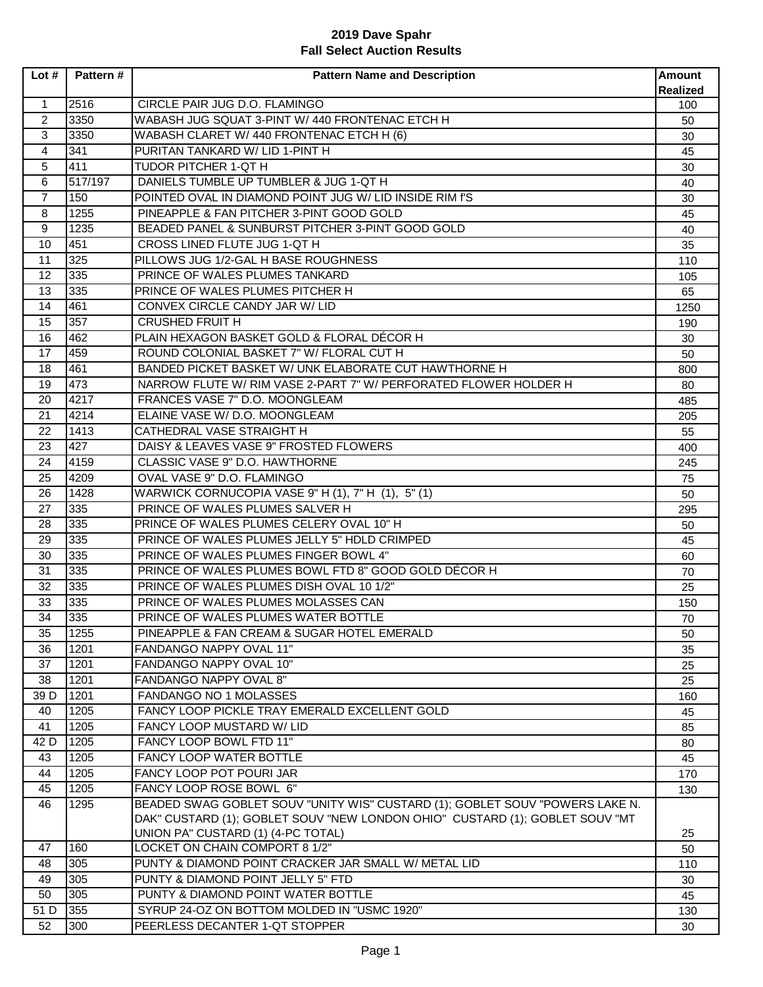| Lot#           | Pattern # | <b>Pattern Name and Description</b>                                          | <b>Amount</b><br><b>Realized</b> |
|----------------|-----------|------------------------------------------------------------------------------|----------------------------------|
| $\mathbf{1}$   | 2516      | CIRCLE PAIR JUG D.O. FLAMINGO                                                | 100                              |
| $\overline{a}$ | 3350      | WABASH JUG SQUAT 3-PINT W/ 440 FRONTENAC ETCH H                              | 50                               |
| 3              | 3350      | WABASH CLARET W/ 440 FRONTENAC ETCH H (6)                                    | 30                               |
| 4              | 341       | PURITAN TANKARD W/ LID 1-PINT H                                              | 45                               |
| 5              | 411       | TUDOR PITCHER 1-QT H                                                         | 30                               |
| 6              | 517/197   | DANIELS TUMBLE UP TUMBLER & JUG 1-QT H                                       | 40                               |
| $\overline{7}$ | 150       | POINTED OVAL IN DIAMOND POINT JUG W/ LID INSIDE RIM f'S                      | 30                               |
| 8              | 1255      | PINEAPPLE & FAN PITCHER 3-PINT GOOD GOLD                                     | 45                               |
| 9              | 1235      | BEADED PANEL & SUNBURST PITCHER 3-PINT GOOD GOLD                             | 40                               |
| 10             | 451       | CROSS LINED FLUTE JUG 1-QT H                                                 | 35                               |
| 11             | 325       | PILLOWS JUG 1/2-GAL H BASE ROUGHNESS                                         | 110                              |
| 12             | 335       | PRINCE OF WALES PLUMES TANKARD                                               | 105                              |
| 13             | 335       | PRINCE OF WALES PLUMES PITCHER H                                             | 65                               |
| 14             | 461       | CONVEX CIRCLE CANDY JAR W/ LID                                               | 1250                             |
| 15             | 357       | <b>CRUSHED FRUIT H</b>                                                       | 190                              |
| 16             | 462       | PLAIN HEXAGON BASKET GOLD & FLORAL DÉCOR H                                   | 30                               |
| 17             | 459       | ROUND COLONIAL BASKET 7" W/ FLORAL CUT H                                     | 50                               |
| 18             | 461       | BANDED PICKET BASKET W/ UNK ELABORATE CUT HAWTHORNE H                        | 800                              |
| 19             | 473       | NARROW FLUTE W/ RIM VASE 2-PART 7" W/ PERFORATED FLOWER HOLDER H             | 80                               |
| 20             | 4217      | FRANCES VASE 7" D.O. MOONGLEAM                                               | 485                              |
| 21             | 4214      | ELAINE VASE W/ D.O. MOONGLEAM                                                | 205                              |
| 22             | 1413      | CATHEDRAL VASE STRAIGHT H                                                    | 55                               |
| 23             | 427       | DAISY & LEAVES VASE 9" FROSTED FLOWERS                                       | 400                              |
| 24             | 4159      | CLASSIC VASE 9" D.O. HAWTHORNE                                               | 245                              |
| 25             | 4209      | OVAL VASE 9" D.O. FLAMINGO                                                   | 75                               |
| 26             | 1428      | WARWICK CORNUCOPIA VASE 9" H (1), 7" H (1), 5" (1)                           | 50                               |
| 27             | 335       | PRINCE OF WALES PLUMES SALVER H                                              | 295                              |
| 28             | 335       | PRINCE OF WALES PLUMES CELERY OVAL 10" H                                     | 50                               |
| 29             | 335       | PRINCE OF WALES PLUMES JELLY 5" HDLD CRIMPED                                 | 45                               |
| 30             | 335       | PRINCE OF WALES PLUMES FINGER BOWL 4"                                        | 60                               |
| 31             | 335       | PRINCE OF WALES PLUMES BOWL FTD 8" GOOD GOLD DÉCOR H                         | 70                               |
| 32             | 335       | PRINCE OF WALES PLUMES DISH OVAL 10 1/2"                                     | 25                               |
| 33             | 335       | PRINCE OF WALES PLUMES MOLASSES CAN                                          | 150                              |
| 34             | 335       | PRINCE OF WALES PLUMES WATER BOTTLE                                          | 70                               |
| 35             | 1255      | PINEAPPLE & FAN CREAM & SUGAR HOTEL EMERALD                                  | 50                               |
| 36             | 1201      | FANDANGO NAPPY OVAL 11"                                                      | 35                               |
| 37             | 1201      | FANDANGO NAPPY OVAL 10"                                                      | 25                               |
| 38             | 1201      | FANDANGO NAPPY OVAL 8"                                                       | 25                               |
| 39 D           | 1201      | FANDANGO NO 1 MOLASSES                                                       | 160                              |
| 40             | 1205      | FANCY LOOP PICKLE TRAY EMERALD EXCELLENT GOLD                                | 45                               |
| 41             | 1205      | FANCY LOOP MUSTARD W/ LID                                                    | 85                               |
| 42 D           | 1205      | FANCY LOOP BOWL FTD 11"                                                      | 80                               |
| 43             | 1205      | FANCY LOOP WATER BOTTLE                                                      | 45                               |
| 44             | 1205      | FANCY LOOP POT POURI JAR                                                     | 170                              |
| 45             | 1205      | FANCY LOOP ROSE BOWL 6"                                                      | 130                              |
| 46             | 1295      | BEADED SWAG GOBLET SOUV "UNITY WIS" CUSTARD (1); GOBLET SOUV "POWERS LAKE N. |                                  |
|                |           | DAK" CUSTARD (1); GOBLET SOUV "NEW LONDON OHIO" CUSTARD (1); GOBLET SOUV "MT |                                  |
|                |           | UNION PA" CUSTARD (1) (4-PC TOTAL)                                           | 25                               |
| 47             | 160       | LOCKET ON CHAIN COMPORT 8 1/2"                                               | 50                               |
| 48             | 305       | PUNTY & DIAMOND POINT CRACKER JAR SMALL W/ METAL LID                         | 110                              |
| 49             | 305       | PUNTY & DIAMOND POINT JELLY 5" FTD                                           | 30                               |
| 50             | 305       | PUNTY & DIAMOND POINT WATER BOTTLE                                           | 45                               |
| 51 D           | 355       | SYRUP 24-OZ ON BOTTOM MOLDED IN "USMC 1920"                                  | 130                              |
| 52             | 300       | PEERLESS DECANTER 1-QT STOPPER                                               | 30                               |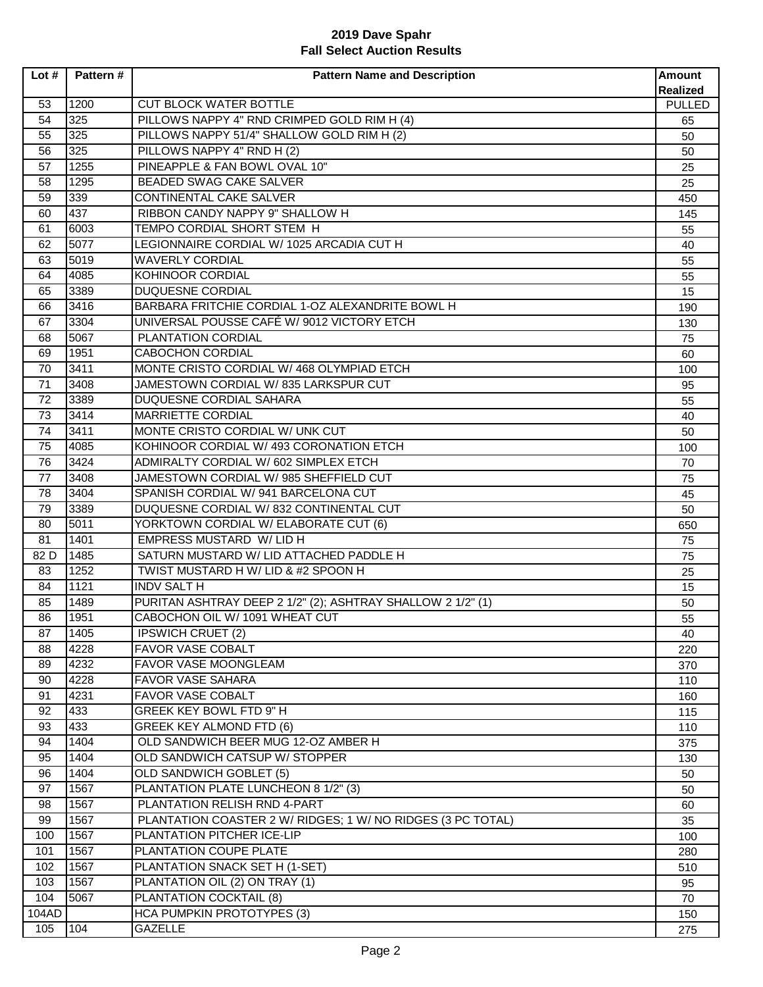| Lot#  | Pattern# | <b>Pattern Name and Description</b>                                    | <b>Amount</b><br><b>Realized</b> |
|-------|----------|------------------------------------------------------------------------|----------------------------------|
| 53    | 1200     | <b>CUT BLOCK WATER BOTTLE</b>                                          | PULLED                           |
| 54    | 325      | PILLOWS NAPPY 4" RND CRIMPED GOLD RIM H (4)                            | 65                               |
| 55    | 325      | PILLOWS NAPPY 51/4" SHALLOW GOLD RIM H (2)                             | 50                               |
| 56    | 325      | PILLOWS NAPPY 4" RND H (2)                                             | 50                               |
| 57    | 1255     | PINEAPPLE & FAN BOWL OVAL 10"                                          | 25                               |
| 58    | 1295     | BEADED SWAG CAKE SALVER                                                | 25                               |
| 59    | 339      | CONTINENTAL CAKE SALVER                                                | 450                              |
| 60    | 437      | RIBBON CANDY NAPPY 9" SHALLOW H                                        |                                  |
| 61    | 6003     | TEMPO CORDIAL SHORT STEM H                                             | 145                              |
| 62    | 5077     | LEGIONNAIRE CORDIAL W/ 1025 ARCADIA CUT H                              | 55<br>40                         |
| 63    | 5019     | <b>WAVERLY CORDIAL</b>                                                 | 55                               |
| 64    | 4085     | KOHINOOR CORDIAL                                                       |                                  |
| 65    | 3389     | DUQUESNE CORDIAL                                                       | 55<br>15                         |
| 66    | 3416     | BARBARA FRITCHIE CORDIAL 1-OZ ALEXANDRITE BOWL H                       | 190                              |
| 67    | 3304     | UNIVERSAL POUSSE CAFÉ W/ 9012 VICTORY ETCH                             |                                  |
| 68    | 5067     | <b>PLANTATION CORDIAL</b>                                              | 130<br>75                        |
|       | 1951     | <b>CABOCHON CORDIAL</b>                                                |                                  |
| 69    |          |                                                                        | 60                               |
| 70    | 3411     | MONTE CRISTO CORDIAL W/ 468 OLYMPIAD ETCH                              | 100                              |
| 71    | 3408     | JAMESTOWN CORDIAL W/835 LARKSPUR CUT<br><b>DUQUESNE CORDIAL SAHARA</b> | 95                               |
| 72    | 3389     |                                                                        | 55                               |
| 73    | 3414     | MARRIETTE CORDIAL                                                      | 40                               |
| 74    | 3411     | MONTE CRISTO CORDIAL W/ UNK CUT                                        | 50                               |
| 75    | 4085     | KOHINOOR CORDIAL W/ 493 CORONATION ETCH                                | 100                              |
| 76    | 3424     | ADMIRALTY CORDIAL W/ 602 SIMPLEX ETCH                                  | 70                               |
| 77    | 3408     | JAMESTOWN CORDIAL W/ 985 SHEFFIELD CUT                                 | 75                               |
| 78    | 3404     | SPANISH CORDIAL W/ 941 BARCELONA CUT                                   | 45                               |
| 79    | 3389     | DUQUESNE CORDIAL W/832 CONTINENTAL CUT                                 | 50                               |
| 80    | 5011     | YORKTOWN CORDIAL W/ ELABORATE CUT (6)                                  | 650                              |
| 81    | 1401     | <b>EMPRESS MUSTARD W/ LID H</b>                                        | 75                               |
| 82 D  | 1485     | SATURN MUSTARD W/ LID ATTACHED PADDLE H                                | 75                               |
| 83    | 1252     | TWIST MUSTARD H W/ LID & #2 SPOON H                                    | 25                               |
| 84    | 1121     | <b>INDV SALT H</b>                                                     | 15                               |
| 85    | 1489     | PURITAN ASHTRAY DEEP 2 1/2" (2); ASHTRAY SHALLOW 2 1/2" (1)            | 50                               |
| 86    | 1951     | CABOCHON OIL W/ 1091 WHEAT CUT                                         | 55                               |
| 87    | 1405     | <b>IPSWICH CRUET (2)</b>                                               | 40                               |
| 88    | 4228     | FAVOR VASE COBALT                                                      | 220                              |
| 89    | 4232     | FAVOR VASE MOONGLEAM                                                   | 370                              |
| 90    | 4228     | <b>FAVOR VASE SAHARA</b>                                               | 110                              |
| 91    | 4231     | <b>FAVOR VASE COBALT</b>                                               | 160                              |
| 92    | 433      | GREEK KEY BOWL FTD 9" H                                                | 115                              |
| 93    | 433      | GREEK KEY ALMOND FTD (6)                                               | 110                              |
| 94    | 1404     | OLD SANDWICH BEER MUG 12-OZ AMBER H                                    | 375                              |
| 95    | 1404     | OLD SANDWICH CATSUP W/ STOPPER                                         | 130                              |
| 96    | 1404     | OLD SANDWICH GOBLET (5)                                                | 50                               |
| 97    | 1567     | PLANTATION PLATE LUNCHEON 8 1/2" (3)                                   | 50                               |
| 98    | 1567     | PLANTATION RELISH RND 4-PART                                           | 60                               |
| 99    | 1567     | PLANTATION COASTER 2 W/ RIDGES; 1 W/ NO RIDGES (3 PC TOTAL)            | 35                               |
| 100   | 1567     | PLANTATION PITCHER ICE-LIP                                             | 100                              |
| 101   | 1567     | PLANTATION COUPE PLATE                                                 | 280                              |
| 102   | 1567     | PLANTATION SNACK SET H (1-SET)                                         | 510                              |
| 103   | 1567     | PLANTATION OIL (2) ON TRAY (1)                                         | 95                               |
| 104   | 5067     | PLANTATION COCKTAIL (8)                                                | 70                               |
| 104AD |          | <b>HCA PUMPKIN PROTOTYPES (3)</b>                                      | 150                              |
| 105   | 104      | <b>GAZELLE</b>                                                         | 275                              |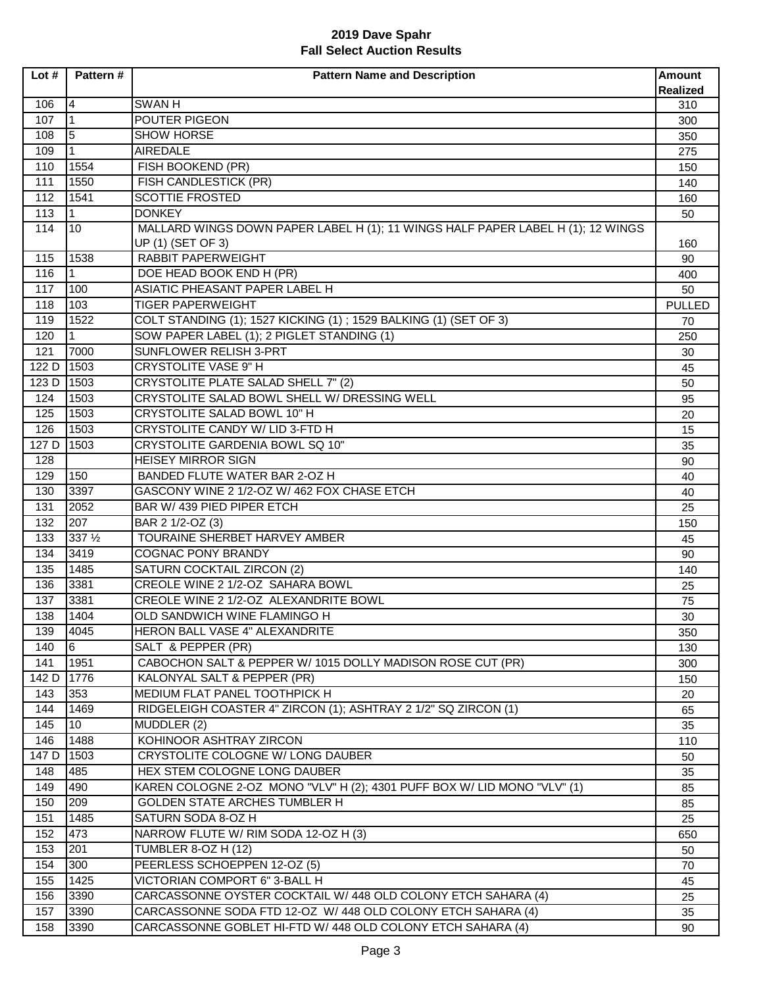| Lot#  | Pattern#     | <b>Pattern Name and Description</b>                                             | <b>Amount</b>          |
|-------|--------------|---------------------------------------------------------------------------------|------------------------|
| 106   | 14           | <b>SWANH</b>                                                                    | <b>Realized</b><br>310 |
| 107   | $\mathbf{1}$ | POUTER PIGEON                                                                   | 300                    |
| 108   | 5            | <b>SHOW HORSE</b>                                                               | 350                    |
| 109   | 1            | <b>AIREDALE</b>                                                                 | 275                    |
| 110   | 1554         | FISH BOOKEND (PR)                                                               | 150                    |
| 111   | 1550         | FISH CANDLESTICK (PR)                                                           | 140                    |
| 112   | 1541         | <b>SCOTTIE FROSTED</b>                                                          | 160                    |
| 113   | $\mathbf{1}$ | <b>DONKEY</b>                                                                   | 50                     |
| 114   | 10           | MALLARD WINGS DOWN PAPER LABEL H (1); 11 WINGS HALF PAPER LABEL H (1); 12 WINGS |                        |
|       |              | UP (1) (SET OF 3)                                                               | 160                    |
| 115   | 1538         | <b>RABBIT PAPERWEIGHT</b>                                                       | 90                     |
| 116   | $\mathbf 1$  | DOE HEAD BOOK END H (PR)                                                        | 400                    |
| 117   | 100          | ASIATIC PHEASANT PAPER LABEL H                                                  | 50                     |
| 118   | 103          | <b>TIGER PAPERWEIGHT</b>                                                        | <b>PULLED</b>          |
| 119   | 1522         | COLT STANDING (1); 1527 KICKING (1); 1529 BALKING (1) (SET OF 3)                | 70                     |
| 120   | $\mathbf{1}$ | SOW PAPER LABEL (1); 2 PIGLET STANDING (1)                                      | 250                    |
| 121   | 7000         | SUNFLOWER RELISH 3-PRT                                                          | 30                     |
| 122 D | 1503         | <b>CRYSTOLITE VASE 9" H</b>                                                     | 45                     |
| 123 D | 1503         | CRYSTOLITE PLATE SALAD SHELL 7" (2)                                             | 50                     |
| 124   | 1503         | CRYSTOLITE SALAD BOWL SHELL W/ DRESSING WELL                                    | 95                     |
| 125   | 1503         | <b>CRYSTOLITE SALAD BOWL 10" H</b>                                              | 20                     |
| 126   | 1503         | CRYSTOLITE CANDY W/ LID 3-FTD H                                                 | 15                     |
| 127 D | 1503         | CRYSTOLITE GARDENIA BOWL SQ 10"                                                 | 35                     |
| 128   |              | <b>HEISEY MIRROR SIGN</b>                                                       | 90                     |
| 129   | 150          | BANDED FLUTE WATER BAR 2-OZ H                                                   | 40                     |
| 130   | 3397         | GASCONY WINE 2 1/2-OZ W/ 462 FOX CHASE ETCH                                     | 40                     |
| 131   | 2052         | BAR W/ 439 PIED PIPER ETCH                                                      | 25                     |
| 132   | 207          | BAR 2 1/2-OZ (3)                                                                | 150                    |
| 133   | 337 1/2      | TOURAINE SHERBET HARVEY AMBER                                                   | 45                     |
| 134   | 3419         | <b>COGNAC PONY BRANDY</b>                                                       | 90                     |
| 135   | 1485         | SATURN COCKTAIL ZIRCON (2)                                                      | 140                    |
| 136   | 3381         | CREOLE WINE 2 1/2-OZ SAHARA BOWL                                                | 25                     |
| 137   | 3381         | CREOLE WINE 2 1/2-OZ ALEXANDRITE BOWL                                           | 75                     |
| 138   | 1404         | OLD SANDWICH WINE FLAMINGO H                                                    | 30                     |
| 139   | 4045         | HERON BALL VASE 4" ALEXANDRITE                                                  | 350                    |
| 140   | 16           | SALT & PEPPER (PR)                                                              | 130                    |
| 141   | 1951         | CABOCHON SALT & PEPPER W/ 1015 DOLLY MADISON ROSE CUT (PR)                      | 300                    |
| 142 D | 1776         | KALONYAL SALT & PEPPER (PR)                                                     | 150                    |
| 143   | 353          | MEDIUM FLAT PANEL TOOTHPICK H                                                   | 20                     |
| 144   | 1469         | RIDGELEIGH COASTER 4" ZIRCON (1); ASHTRAY 2 1/2" SQ ZIRCON (1)                  | 65                     |
| 145   | 10           | MUDDLER (2)                                                                     | 35                     |
| 146   | 1488         | KOHINOOR ASHTRAY ZIRCON                                                         | 110                    |
| 147 D | 1503         | CRYSTOLITE COLOGNE W/ LONG DAUBER                                               | 50                     |
| 148   | 485          | HEX STEM COLOGNE LONG DAUBER                                                    | 35                     |
| 149   | 490          | KAREN COLOGNE 2-OZ MONO "VLV" H (2); 4301 PUFF BOX W/ LID MONO "VLV" (1)        | 85                     |
| 150   | 209          | GOLDEN STATE ARCHES TUMBLER H                                                   | 85                     |
| 151   | 1485         | SATURN SODA 8-OZ H                                                              | 25                     |
| 152   | 473          | NARROW FLUTE W/ RIM SODA 12-OZ H (3)                                            | 650                    |
| 153   | 201          | <b>TUMBLER 8-OZ H (12)</b>                                                      | 50                     |
| 154   | 300          | PEERLESS SCHOEPPEN 12-OZ (5)                                                    | 70                     |
| 155   | 1425         | VICTORIAN COMPORT 6" 3-BALL H                                                   | 45                     |
| 156   | 3390         | CARCASSONNE OYSTER COCKTAIL W/ 448 OLD COLONY ETCH SAHARA (4)                   | 25                     |
| 157   | 3390         | CARCASSONNE SODA FTD 12-OZ W/ 448 OLD COLONY ETCH SAHARA (4)                    | 35                     |
| 158   | 3390         | CARCASSONNE GOBLET HI-FTD W/ 448 OLD COLONY ETCH SAHARA (4)                     | 90                     |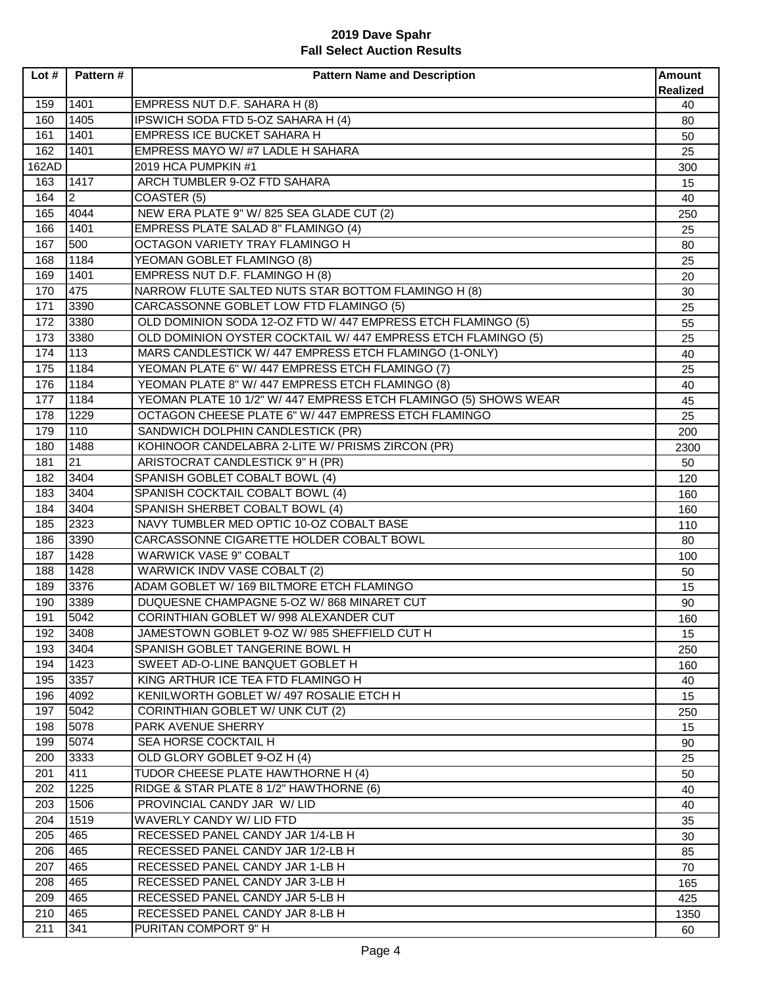| Lot#  | Pattern#       | <b>Pattern Name and Description</b>                              | <b>Amount</b><br><b>Realized</b> |
|-------|----------------|------------------------------------------------------------------|----------------------------------|
| 159   | 1401           | EMPRESS NUT D.F. SAHARA H (8)                                    | 40                               |
| 160   | 1405           | IPSWICH SODA FTD 5-OZ SAHARA H (4)                               | 80                               |
| 161   | 1401           | EMPRESS ICE BUCKET SAHARA H                                      | 50                               |
| 162   | 1401           | EMPRESS MAYO W/#7 LADLE H SAHARA                                 | 25                               |
| 162AD |                | 2019 HCA PUMPKIN #1                                              | 300                              |
| 163   | 1417           | ARCH TUMBLER 9-OZ FTD SAHARA                                     | 15                               |
| 164   | $\overline{2}$ | COASTER (5)                                                      | 40                               |
| 165   | 4044           | NEW ERA PLATE 9" W/ 825 SEA GLADE CUT (2)                        | 250                              |
| 166   | 1401           | <b>EMPRESS PLATE SALAD 8" FLAMINGO (4)</b>                       | 25                               |
| 167   | 500            | OCTAGON VARIETY TRAY FLAMINGO H                                  | 80                               |
| 168   | 1184           | YEOMAN GOBLET FLAMINGO (8)                                       | 25                               |
| 169   | 1401           | EMPRESS NUT D.F. FLAMINGO H (8)                                  | 20                               |
| 170   | 475            | NARROW FLUTE SALTED NUTS STAR BOTTOM FLAMINGO H (8)              | 30                               |
| 171   | 3390           | CARCASSONNE GOBLET LOW FTD FLAMINGO (5)                          | 25                               |
| 172   | 3380           | OLD DOMINION SODA 12-OZ FTD W/ 447 EMPRESS ETCH FLAMINGO (5)     | 55                               |
| 173   | 3380           | OLD DOMINION OYSTER COCKTAIL W/ 447 EMPRESS ETCH FLAMINGO (5)    | 25                               |
| 174   | 113            | MARS CANDLESTICK W/ 447 EMPRESS ETCH FLAMINGO (1-ONLY)           | 40                               |
| 175   | 1184           | YEOMAN PLATE 6" W/ 447 EMPRESS ETCH FLAMINGO (7)                 | 25                               |
| 176   | 1184           | YEOMAN PLATE 8" W/ 447 EMPRESS ETCH FLAMINGO (8)                 | 40                               |
| 177   | 1184           | YEOMAN PLATE 10 1/2" W/ 447 EMPRESS ETCH FLAMINGO (5) SHOWS WEAR | 45                               |
| 178   | 1229           | OCTAGON CHEESE PLATE 6" W/ 447 EMPRESS ETCH FLAMINGO             | 25                               |
| 179   | 110            | SANDWICH DOLPHIN CANDLESTICK (PR)                                | 200                              |
| 180   | 1488           | KOHINOOR CANDELABRA 2-LITE W/ PRISMS ZIRCON (PR)                 | 2300                             |
| 181   | 21             | ARISTOCRAT CANDLESTICK 9" H (PR)                                 | 50                               |
| 182   | 3404           | SPANISH GOBLET COBALT BOWL (4)                                   | 120                              |
| 183   | 3404           | SPANISH COCKTAIL COBALT BOWL (4)                                 | 160                              |
| 184   | 3404           | SPANISH SHERBET COBALT BOWL (4)                                  | 160                              |
| 185   | 2323           | NAVY TUMBLER MED OPTIC 10-OZ COBALT BASE                         | 110                              |
| 186   | 3390           | CARCASSONNE CIGARETTE HOLDER COBALT BOWL                         | 80                               |
| 187   | 1428           | <b>WARWICK VASE 9" COBALT</b>                                    | 100                              |
| 188   | 1428           | WARWICK INDV VASE COBALT (2)                                     | 50                               |
| 189   | 3376           | ADAM GOBLET W/ 169 BILTMORE ETCH FLAMINGO                        | 15                               |
| 190   | 3389           | DUQUESNE CHAMPAGNE 5-OZ W/868 MINARET CUT                        | 90                               |
| 191   | 5042           | CORINTHIAN GOBLET W/ 998 ALEXANDER CUT                           | 160                              |
| 192   | 3408           | JAMESTOWN GOBLET 9-OZ W/ 985 SHEFFIELD CUT H                     | 15                               |
| 193   | 3404           | SPANISH GOBLET TANGERINE BOWL H                                  | 250                              |
| 194   | 1423           | SWEET AD-O-LINE BANQUET GOBLET H                                 | 160                              |
| 195   | 3357           | KING ARTHUR ICE TEA FTD FLAMINGO H                               | 40                               |
| 196   | 4092           | KENILWORTH GOBLET W/ 497 ROSALIE ETCH H                          | 15                               |
| 197   | 5042           | <b>CORINTHIAN GOBLET W/ UNK CUT (2)</b>                          | 250                              |
| 198   | 5078           | PARK AVENUE SHERRY                                               | 15                               |
| 199   | 5074           | SEA HORSE COCKTAIL H                                             | 90                               |
| 200   | 3333           | OLD GLORY GOBLET 9-OZ H (4)                                      | 25                               |
| 201   | 411            | TUDOR CHEESE PLATE HAWTHORNE H (4)                               | 50                               |
| 202   | 1225           | RIDGE & STAR PLATE 8 1/2" HAWTHORNE (6)                          | 40                               |
| 203   | 1506           | PROVINCIAL CANDY JAR W/ LID                                      | 40                               |
| 204   | 1519           | WAVERLY CANDY W/ LID FTD                                         | 35                               |
| 205   | 465            | RECESSED PANEL CANDY JAR 1/4-LB H                                | 30                               |
| 206   | 465            | RECESSED PANEL CANDY JAR 1/2-LB H                                | 85                               |
| 207   | 465            | RECESSED PANEL CANDY JAR 1-LB H                                  | 70                               |
| 208   | 465            | RECESSED PANEL CANDY JAR 3-LB H                                  | 165                              |
| 209   | 465            | RECESSED PANEL CANDY JAR 5-LB H                                  | 425                              |
| 210   | 465            | RECESSED PANEL CANDY JAR 8-LB H                                  | 1350                             |
| 211   | 341            | PURITAN COMPORT 9" H                                             | 60                               |
|       |                |                                                                  |                                  |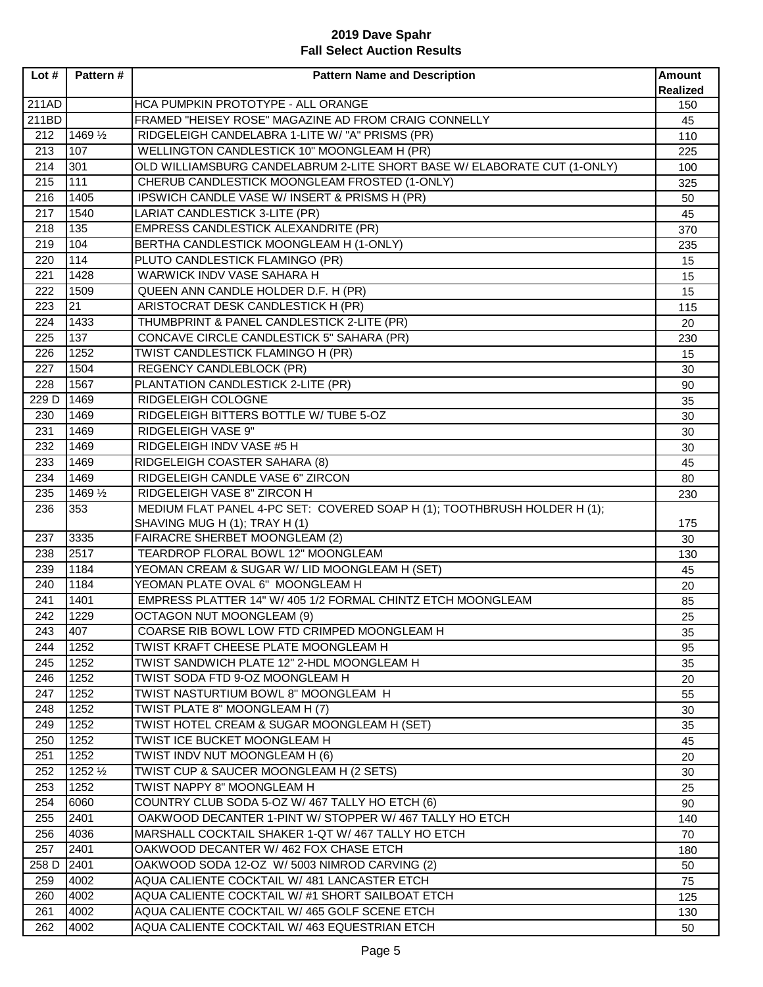| Lot#  | Pattern#     | <b>Pattern Name and Description</b>                                      | <b>Amount</b><br><b>Realized</b> |
|-------|--------------|--------------------------------------------------------------------------|----------------------------------|
| 211AD |              | HCA PUMPKIN PROTOTYPE - ALL ORANGE                                       | 150                              |
| 211BD |              | FRAMED "HEISEY ROSE" MAGAZINE AD FROM CRAIG CONNELLY                     | 45                               |
| 212   | 1469 1/2     | RIDGELEIGH CANDELABRA 1-LITE W/ "A" PRISMS (PR)                          | 110                              |
| 213   | 107          | WELLINGTON CANDLESTICK 10" MOONGLEAM H (PR)                              | 225                              |
| 214   | 301          | OLD WILLIAMSBURG CANDELABRUM 2-LITE SHORT BASE W/ ELABORATE CUT (1-ONLY) | 100                              |
| 215   | 111          | CHERUB CANDLESTICK MOONGLEAM FROSTED (1-ONLY)                            | 325                              |
| 216   | 1405         | IPSWICH CANDLE VASE W/ INSERT & PRISMS H (PR)                            | 50                               |
| 217   | 1540         | LARIAT CANDLESTICK 3-LITE (PR)                                           | 45                               |
| 218   | 135          | <b>EMPRESS CANDLESTICK ALEXANDRITE (PR)</b>                              | 370                              |
| 219   | 104          | BERTHA CANDLESTICK MOONGLEAM H (1-ONLY)                                  | 235                              |
| 220   | 114          | PLUTO CANDLESTICK FLAMINGO (PR)                                          | 15                               |
| 221   | 1428         | WARWICK INDV VASE SAHARA H                                               | 15                               |
| 222   | 1509         | QUEEN ANN CANDLE HOLDER D.F. H (PR)                                      | 15                               |
| 223   | 21           | ARISTOCRAT DESK CANDLESTICK H (PR)                                       | 115                              |
| 224   | 1433         | THUMBPRINT & PANEL CANDLESTICK 2-LITE (PR)                               |                                  |
| 225   | 137          | CONCAVE CIRCLE CANDLESTICK 5" SAHARA (PR)                                | 20                               |
| 226   | 1252         | TWIST CANDLESTICK FLAMINGO H (PR)                                        | 230                              |
| 227   | 1504         | <b>REGENCY CANDLEBLOCK (PR)</b>                                          | 15                               |
|       |              | PLANTATION CANDLESTICK 2-LITE (PR)                                       | 30                               |
| 228   | 1567         | <b>RIDGELEIGH COLOGNE</b>                                                | 90                               |
| 229 D | 1469         |                                                                          | 35                               |
| 230   | 1469         | RIDGELEIGH BITTERS BOTTLE W/ TUBE 5-OZ                                   | 30                               |
| 231   | 1469         | RIDGELEIGH VASE 9"                                                       | 30                               |
| 232   | 1469         | RIDGELEIGH INDV VASE #5 H                                                | 30                               |
| 233   | 1469         | RIDGELEIGH COASTER SAHARA (8)                                            | 45                               |
| 234   | 1469         | RIDGELEIGH CANDLE VASE 6" ZIRCON                                         | 80                               |
| 235   | 1469 1/2     | RIDGELEIGH VASE 8" ZIRCON H                                              | 230                              |
| 236   | 353          | MEDIUM FLAT PANEL 4-PC SET: COVERED SOAP H (1); TOOTHBRUSH HOLDER H (1); |                                  |
| 237   | 3335         | SHAVING MUG H (1); TRAY H (1)<br><b>FAIRACRE SHERBET MOONGLEAM (2)</b>   | 175                              |
| 238   | 2517         | TEARDROP FLORAL BOWL 12" MOONGLEAM                                       | 30                               |
|       |              |                                                                          | 130                              |
| 239   | 1184<br>1184 | YEOMAN CREAM & SUGAR W/ LID MOONGLEAM H (SET)                            | 45                               |
| 240   |              | YEOMAN PLATE OVAL 6" MOONGLEAM H                                         | 20                               |
| 241   | 1401         | EMPRESS PLATTER 14" W/ 405 1/2 FORMAL CHINTZ ETCH MOONGLEAM              | 85                               |
| 242   | 1229         | <b>OCTAGON NUT MOONGLEAM (9)</b>                                         | 25                               |
| 243   | 407          | COARSE RIB BOWL LOW FTD CRIMPED MOONGLEAM H                              | 35                               |
| 244   | 1252         | TWIST KRAFT CHEESE PLATE MOONGLEAM H                                     | 95                               |
| 245   | 1252         | TWIST SANDWICH PLATE 12" 2-HDL MOONGLEAM H                               | 35                               |
| 246   | 1252         | TWIST SODA FTD 9-OZ MOONGLEAM H                                          | 20                               |
| 247   | 1252         | TWIST NASTURTIUM BOWL 8" MOONGLEAM H                                     | 55                               |
| 248   | 1252         | TWIST PLATE 8" MOONGLEAM H (7)                                           | 30                               |
| 249   | 1252         | TWIST HOTEL CREAM & SUGAR MOONGLEAM H (SET)                              | 35                               |
| 250   | 1252         | TWIST ICE BUCKET MOONGLEAM H                                             | 45                               |
| 251   | 1252         | TWIST INDV NUT MOONGLEAM H (6)                                           | 20                               |
| 252   | 1252 1/2     | TWIST CUP & SAUCER MOONGLEAM H (2 SETS)                                  | 30                               |
| 253   | 1252         | TWIST NAPPY 8" MOONGLEAM H                                               | 25                               |
| 254   | 6060         | COUNTRY CLUB SODA 5-OZ W/ 467 TALLY HO ETCH (6)                          | 90                               |
| 255   | 2401         | OAKWOOD DECANTER 1-PINT W/ STOPPER W/467 TALLY HO ETCH                   | 140                              |
| 256   | 4036         | MARSHALL COCKTAIL SHAKER 1-QT W/ 467 TALLY HO ETCH                       | 70                               |
| 257   | 2401         | OAKWOOD DECANTER W/ 462 FOX CHASE ETCH                                   | 180                              |
| 258 D | 2401         | OAKWOOD SODA 12-OZ W/ 5003 NIMROD CARVING (2)                            | 50                               |
| 259   | 4002         | AQUA CALIENTE COCKTAIL W/ 481 LANCASTER ETCH                             | 75                               |
| 260   | 4002         | AQUA CALIENTE COCKTAIL W/#1 SHORT SAILBOAT ETCH                          | 125                              |
| 261   | 4002         | AQUA CALIENTE COCKTAIL W/ 465 GOLF SCENE ETCH                            | 130                              |
| 262   | 4002         | AQUA CALIENTE COCKTAIL W/ 463 EQUESTRIAN ETCH                            | 50                               |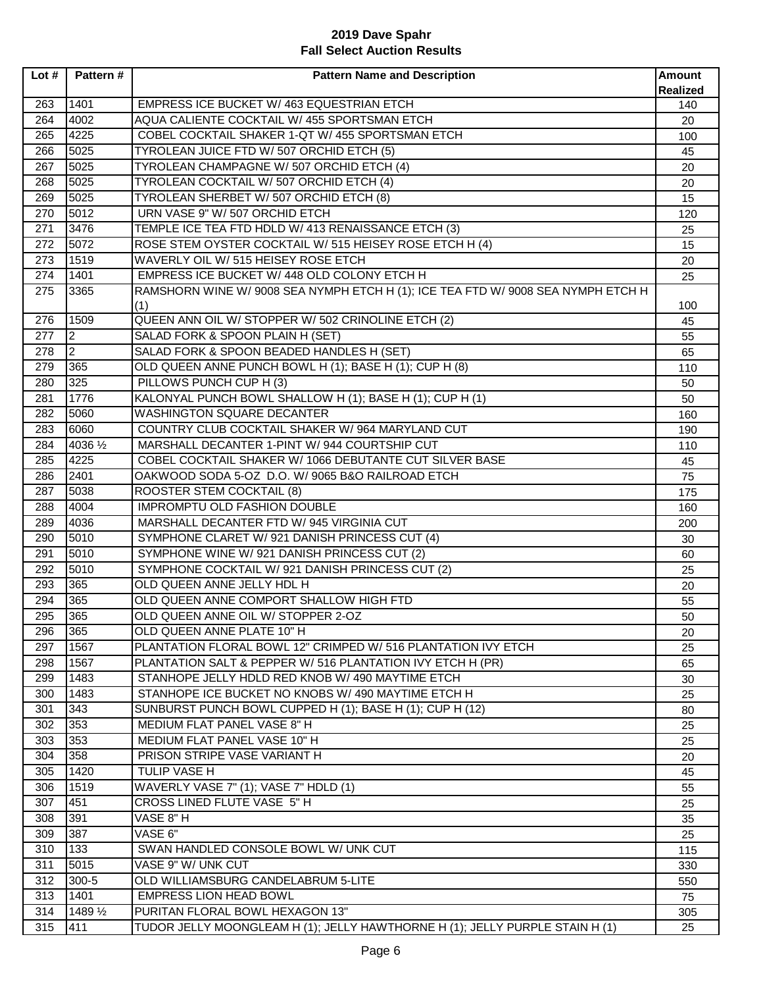| Lot# | Pattern #      | <b>Pattern Name and Description</b>                                              | <b>Amount</b><br>Realized |
|------|----------------|----------------------------------------------------------------------------------|---------------------------|
| 263  | 1401           | EMPRESS ICE BUCKET W/ 463 EQUESTRIAN ETCH                                        | 140                       |
| 264  | 4002           | AQUA CALIENTE COCKTAIL W/ 455 SPORTSMAN ETCH                                     | 20                        |
| 265  | 4225           | COBEL COCKTAIL SHAKER 1-QT W/ 455 SPORTSMAN ETCH                                 | 100                       |
| 266  | 5025           | TYROLEAN JUICE FTD W/ 507 ORCHID ETCH (5)                                        | 45                        |
| 267  | 5025           | TYROLEAN CHAMPAGNE W/ 507 ORCHID ETCH (4)                                        | 20                        |
| 268  | 5025           | TYROLEAN COCKTAIL W/ 507 ORCHID ETCH (4)                                         | 20                        |
| 269  | 5025           | TYROLEAN SHERBET W/ 507 ORCHID ETCH (8)                                          | 15                        |
| 270  | 5012           | URN VASE 9" W/ 507 ORCHID ETCH                                                   | 120                       |
| 271  | 3476           | TEMPLE ICE TEA FTD HDLD W/ 413 RENAISSANCE ETCH (3)                              | 25                        |
| 272  | 5072           | ROSE STEM OYSTER COCKTAIL W/ 515 HEISEY ROSE ETCH H (4)                          | 15                        |
| 273  | 1519           | WAVERLY OIL W/ 515 HEISEY ROSE ETCH                                              | 20                        |
| 274  | 1401           | EMPRESS ICE BUCKET W/ 448 OLD COLONY ETCH H                                      | 25                        |
| 275  | 3365           | RAMSHORN WINE W/ 9008 SEA NYMPH ETCH H (1); ICE TEA FTD W/ 9008 SEA NYMPH ETCH H |                           |
|      |                | (1)                                                                              | 100                       |
| 276  | 1509           | QUEEN ANN OIL W/ STOPPER W/ 502 CRINOLINE ETCH (2)                               | 45                        |
| 277  | $\overline{2}$ | SALAD FORK & SPOON PLAIN H (SET)                                                 | 55                        |
| 278  | $\overline{2}$ | SALAD FORK & SPOON BEADED HANDLES H (SET)                                        | 65                        |
| 279  | 365            | OLD QUEEN ANNE PUNCH BOWL H (1); BASE H (1); CUP H (8)                           | 110                       |
| 280  | 325            | PILLOWS PUNCH CUP H (3)                                                          | 50                        |
| 281  | 1776           | KALONYAL PUNCH BOWL SHALLOW H (1); BASE H (1); CUP H (1)                         | 50                        |
| 282  | 5060           | <b>WASHINGTON SQUARE DECANTER</b>                                                | 160                       |
| 283  | 6060           | COUNTRY CLUB COCKTAIL SHAKER W/ 964 MARYLAND CUT                                 | 190                       |
| 284  | 4036 1/2       | MARSHALL DECANTER 1-PINT W/ 944 COURTSHIP CUT                                    | 110                       |
| 285  | 4225           | COBEL COCKTAIL SHAKER W/ 1066 DEBUTANTE CUT SILVER BASE                          | 45                        |
| 286  | 2401           | OAKWOOD SODA 5-OZ D.O. W/ 9065 B&O RAILROAD ETCH                                 | 75                        |
| 287  | 5038           | ROOSTER STEM COCKTAIL (8)                                                        | 175                       |
| 288  | 4004           | <b>IMPROMPTU OLD FASHION DOUBLE</b>                                              | 160                       |
| 289  | 4036           | MARSHALL DECANTER FTD W/ 945 VIRGINIA CUT                                        | 200                       |
| 290  | 5010           | SYMPHONE CLARET W/ 921 DANISH PRINCESS CUT (4)                                   | 30                        |
| 291  | 5010           | SYMPHONE WINE W/ 921 DANISH PRINCESS CUT (2)                                     | 60                        |
| 292  | 5010           | SYMPHONE COCKTAIL W/ 921 DANISH PRINCESS CUT (2)                                 | 25                        |
| 293  | 365            | OLD QUEEN ANNE JELLY HDL H                                                       | 20                        |
| 294  | 365            | OLD QUEEN ANNE COMPORT SHALLOW HIGH FTD                                          | 55                        |
| 295  | 365            | OLD QUEEN ANNE OIL W/ STOPPER 2-OZ                                               | 50                        |
| 296  | 365            | OLD QUEEN ANNE PLATE 10" H                                                       | 20                        |
| 297  | 1567           | PLANTATION FLORAL BOWL 12" CRIMPED W/ 516 PLANTATION IVY ETCH                    | 25                        |
| 298  | 1567           | PLANTATION SALT & PEPPER W/ 516 PLANTATION IVY ETCH H (PR)                       | 65                        |
| 299  | 1483           | STANHOPE JELLY HDLD RED KNOB W/ 490 MAYTIME ETCH                                 | 30                        |
| 300  | 1483           | STANHOPE ICE BUCKET NO KNOBS W/ 490 MAYTIME ETCH H                               | 25                        |
| 301  | 343            | SUNBURST PUNCH BOWL CUPPED H (1); BASE H (1); CUP H (12)                         | 80                        |
| 302  | 353            | MEDIUM FLAT PANEL VASE 8" H                                                      | 25                        |
| 303  | 353            | MEDIUM FLAT PANEL VASE 10" H                                                     | 25                        |
| 304  | 358            | PRISON STRIPE VASE VARIANT H                                                     | 20                        |
| 305  | 1420           | <b>TULIP VASE H</b>                                                              | 45                        |
| 306  | 1519           | WAVERLY VASE 7" (1); VASE 7" HDLD (1)                                            | 55                        |
| 307  | 451            | CROSS LINED FLUTE VASE 5" H                                                      | 25                        |
| 308  | 391            | VASE 8"H                                                                         | 35                        |
| 309  | 387            | VASE 6"                                                                          | 25                        |
| 310  | 133            | SWAN HANDLED CONSOLE BOWL W/ UNK CUT                                             | 115                       |
| 311  | 5015           | VASE 9" W/ UNK CUT                                                               | 330                       |
| 312  | 300-5          | OLD WILLIAMSBURG CANDELABRUM 5-LITE                                              | 550                       |
| 313  | 1401           | <b>EMPRESS LION HEAD BOWL</b>                                                    | 75                        |
| 314  | 1489 1/2       | PURITAN FLORAL BOWL HEXAGON 13"                                                  | 305                       |
| 315  | 411            | TUDOR JELLY MOONGLEAM H (1); JELLY HAWTHORNE H (1); JELLY PURPLE STAIN H (1)     | 25                        |